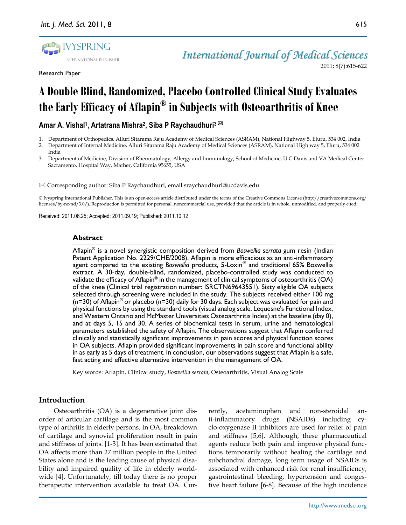

Research Paper

# **A Double Blind, Randomized, Placebo Controlled ClinicalStudyEvaluates theEarlyEfficacy of Aflapin® in Subjects with Osteoarthritis of Knee**

**Amar A. Vishal<sup>1</sup> , Artatrana Mishra<sup>2</sup> , Siba P Raychaudhuri<sup>3</sup>**

- 1. Department of Orthopedics, Alluri Sitarama Raju Academy of Medical Sciences (ASRAM), National Highway 5, Eluru, 534 002, India
- 2. Department of Internal Medicine, Alluri Sitarama Raju Academy of Medical Sciences (ASRAM), National High way 5, Eluru, 534 002 India
- 3. Department of Medicine, Division of Rheumatology, Allergy and Immunology, School of Medicine, U C Davis and VA Medical Center Sacramento, Hospital Way, Mather, California 95655, USA

 $\boxtimes$  Corresponding author: Siba P Raychaudhuri, email sraychaudhuri@ucdavis.edu

© Ivyspring International Publisher. This is an open-access article distributed under the terms of the Creative Commons License (http://creativecommons.org/ licenses/by-nc-nd/3.0/). Reproduction is permitted for personal, noncommercial use, provided that the article is in whole, unmodified, and properly cited.

Received: 2011.06.25; Accepted: 2011.09.19; Published: 2011.10.12

## **Abstract**

Aflapin® is a novel synergistic composition derived from *Boswellia serrata* gum resin (Indian Patent Application No. 2229/CHE/2008). Aflapin is more efficacious as an anti-inflammatory agent compared to the existing Boswellia products, 5-Loxin® and traditional 65% Boswellia extract. A 30-day, double-blind, randomized, placebo-controlled study was conducted to validate the efficacy of Aflapin $^{\circledast}$  in the management of clinical symptoms of osteoarthritis (OA) of the knee (Clinical trial registration number: ISRCTN69643551). Sixty eligible OA subjects selected through screening were included in the study. The subjects received either 100 mg  $(n=30)$  of Aflapin<sup>®</sup> or placebo (n=30) daily for 30 days. Each subject was evaluated for pain and physical functions by using the standard tools (visual analog scale, Lequesne's Functional Index, and Western Ontario and McMaster Universities Osteoarthritis Index) at the baseline (day 0), and at days 5, 15 and 30. A series of biochemical tests in serum, urine and hematological parameters established the safety of Aflapin. The observations suggest that Aflapin conferred clinically and statistically significant improvements in pain scores and physical function scores in OA subjects. Aflapin provided significant improvements in pain score and functional ability in as early as 5 days of treatment. In conclusion, our observations suggest that Aflapin is a safe, fast acting and effective alternative intervention in the management of OA.

Key words: Aflapin, Clinical study, *Boswellia serrata*, Osteoarthritis, Visual Analog Scale

# **Introduction**

Osteoarthritis (OA) is a degenerative joint disorder of articular cartilage and is the most common type of arthritis in elderly persons. In OA, breakdown of cartilage and synovial proliferation result in pain and stiffness of joints. [1-3]. It has been estimated that OA affects more than 27 million people in the United States alone and is the leading cause of physical disability and impaired quality of life in elderly worldwide [4]. Unfortunately, till today there is no proper therapeutic intervention available to treat OA. Currently, acetaminophen and non-steroidal anti-inflammatory drugs (NSAIDs) including cyclo-oxygenase II inhibitors are used for relief of pain and stiffness [5,6]. Although, these pharmaceutical agents reduce both pain and improve physical functions temporarily without healing the cartilage and subchondral damage, long term usage of NSAIDs is associated with enhanced risk for renal insufficiency, gastrointestinal bleeding, hypertension and congestive heart failure [6-8]. Because of the high incidence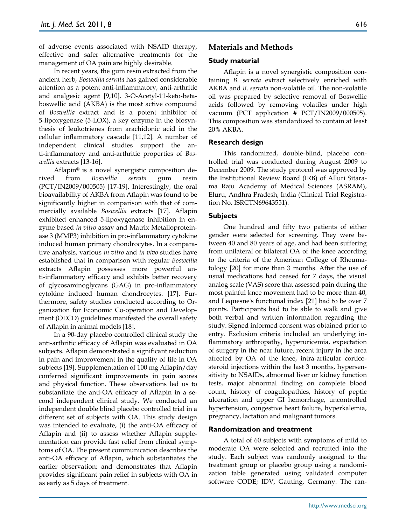of adverse events associated with NSAID therapy, effective and safer alternative treatments for the management of OA pain are highly desirable.

In recent years, the gum resin extracted from the ancient herb, *Boswellia serrata* has gained considerable attention as a potent anti-inflammatory, anti-arthritic and analgesic agent [9,10]. 3-O-Acetyl-11-keto-betaboswellic acid (AKBA) is the most active compound of *Boswellia* extract and is a potent inhibitor of 5-lipoxygenase (5-LOX), a key enzyme in the biosynthesis of leukotrienes from arachidonic acid in the cellular inflammatory cascade [11,12]. A number of independent clinical studies support the anti-inflammatory and anti-arthritic properties of *Boswellia* extracts [13-16].

Aflapin® is a novel synergistic composition derived from *Boswellia serrata* gum resin (PCT/IN2009/000505) [17-19]. Interestingly, the oral bioavailability of AKBA from Aflapin was found to be significantly higher in comparison with that of commercially available *Boswellia* extracts [17]. Aflapin exhibited enhanced 5-lipoxygenase inhibition in enzyme based *in vitro* assay and Matrix Metalloproteinase 3 (MMP3) inhibition in pro-inflammatory cytokine induced human primary chondrocytes. In a comparative analysis, various *in vitro* and *in vivo* studies have established that in comparison with regular *Boswellia* extracts Aflapin possesses more powerful anti-inflammatory efficacy and exhibits better recovery of glycosaminoglycans (GAG) in pro-inflammatory cytokine induced human chondrocytes. [17]. Furthermore, safety studies conducted according to Organization for Economic Co-operation and Development (OECD) guidelines manifested the overall safety of Aflapin in animal models [18].

In a 90-day placebo controlled clinical study the anti-arthritic efficacy of Aflapin was evaluated in OA subjects. Aflapin demonstrated a significant reduction in pain and improvement in the quality of life in OA subjects [19]. Supplementation of 100 mg Aflapin/day conferred significant improvements in pain scores and physical function. These observations led us to substantiate the anti-OA efficacy of Aflapin in a second independent clinical study. We conducted an independent double blind placebo controlled trial in a different set of subjects with OA. This study design was intended to evaluate, (i) the anti-OA efficacy of Aflapin and (ii) to assess whether Aflapin supplementation can provide fast relief from clinical symptoms of OA. The present communication describes the anti-OA efficacy of Aflapin, which substantiates the earlier observation; and demonstrates that Aflapin provides significant pain relief in subjects with OA in as early as 5 days of treatment.

# **Materials and Methods**

# **Study material**

Aflapin is a novel synergistic composition containing *B. serrata* extract selectively enriched with AKBA and *B. serrata* non-volatile oil. The non-volatile oil was prepared by selective removal of Boswellic acids followed by removing volatiles under high vacuum (PCT application # PCT/IN2009/000505). This composition was standardized to contain at least 20% AKBA.

# **Research design**

This randomized, double-blind, placebo controlled trial was conducted during August 2009 to December 2009. The study protocol was approved by the Institutional Review Board (IRB) of Alluri Sitarama Raju Academy of Medical Sciences (ASRAM), Eluru, Andhra Pradesh, India (Clinical Trial Registration No. ISRCTN69643551).

# **Subjects**

One hundred and fifty two patients of either gender were selected for screening. They were between 40 and 80 years of age, and had been suffering from unilateral or bilateral OA of the knee according to the criteria of the American College of Rheumatology [20] for more than 3 months. After the use of usual medications had ceased for 7 days, the visual analog scale (VAS) score that assessed pain during the most painful knee movement had to be more than 40, and Lequesne's functional index [21] had to be over 7 points. Participants had to be able to walk and give both verbal and written information regarding the study. Signed informed consent was obtained prior to entry. Exclusion criteria included an underlying inflammatory arthropathy, hyperuricemia, expectation of surgery in the near future, recent injury in the area affected by OA of the knee, intra-articular corticosteroid injections within the last 3 months, hypersensitivity to NSAIDs, abnormal liver or kidney function tests, major abnormal finding on complete blood count, history of coagulopathies, history of peptic ulceration and upper GI hemorrhage, uncontrolled hypertension, congestive heart failure, hyperkalemia, pregnancy, lactation and malignant tumors.

## **Randomization and treatment**

A total of 60 subjects with symptoms of mild to moderate OA were selected and recruited into the study. Each subject was randomly assigned to the treatment group or placebo group using a randomization table generated using validated computer software CODE; IDV, Gauting, Germany. The ran-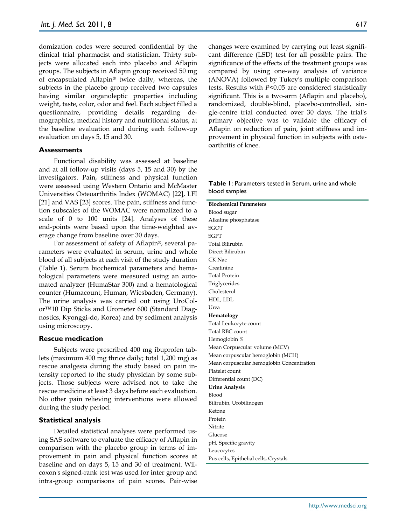domization codes were secured confidential by the clinical trial pharmacist and statistician. Thirty subjects were allocated each into placebo and Aflapin groups. The subjects in Aflapin group received 50 mg of encapsulated Aflapin® twice daily, whereas, the subjects in the placebo group received two capsules having similar organoleptic properties including weight, taste, color, odor and feel. Each subject filled a questionnaire, providing details regarding demographics, medical history and nutritional status, at the baseline evaluation and during each follow-up evaluation on days 5, 15 and 30.

## **Assessments**

Functional disability was assessed at baseline and at all follow-up visits (days 5, 15 and 30) by the investigators. Pain, stiffness and physical function were assessed using Western Ontario and McMaster Universities Osteoarthritis Index (WOMAC) [22], LFI [21] and VAS [23] scores. The pain, stiffness and function subscales of the WOMAC were normalized to a scale of 0 to 100 units [24]. Analyses of these end-points were based upon the time-weighted average change from baseline over 30 days.

For assessment of safety of Aflapin®, several parameters were evaluated in serum, urine and whole blood of all subjects at each visit of the study duration (Table 1). Serum biochemical parameters and hematological parameters were measured using an automated analyzer (HumaStar 300) and a hematological counter (Humacount, Human, Wiesbaden, Germany). The urine analysis was carried out using UroColor™10 Dip Sticks and Urometer 600 (Standard Diagnostics, Kyonggi-do, Korea) and by sediment analysis using microscopy.

#### **Rescue medication**

Subjects were prescribed 400 mg ibuprofen tablets (maximum 400 mg thrice daily; total 1,200 mg) as rescue analgesia during the study based on pain intensity reported to the study physician by some subjects. Those subjects were advised not to take the rescue medicine at least 3 days before each evaluation. No other pain relieving interventions were allowed during the study period.

#### **Statistical analysis**

Detailed statistical analyses were performed using SAS software to evaluate the efficacy of Aflapin in comparison with the placebo group in terms of improvement in pain and physical function scores at baseline and on days 5, 15 and 30 of treatment. Wilcoxon's signed-rank test was used for inter group and intra-group comparisons of pain scores. Pair-wise

changes were examined by carrying out least significant difference (LSD) test for all possible pairs. The significance of the effects of the treatment groups was compared by using one-way analysis of variance (ANOVA) followed by Tukey's multiple comparison tests. Results with *P<*0.05 are considered statistically significant. This is a two-arm (Aflapin and placebo), randomized, double-blind, placebo-controlled, single-centre trial conducted over 30 days. The trial's primary objective was to validate the efficacy of Aflapin on reduction of pain, joint stiffness and improvement in physical function in subjects with osteoarthritis of knee.

#### **Table 1**: Parameters tested in Serum, urine and whole blood samples

**Biochemical Parameters** Blood sugar Alkaline phosphatase **SGOT** SGPT Total Bilirubin Direct Bilirubin CK Nac Creatinine Total Protein Triglycerides Cholesterol HDL, LDL Urea **Hematology** Total Leukocyte count Total RBC count Hemoglobin % Mean Corpuscular volume (MCV) Mean corpuscular hemoglobin (MCH) Mean corpuscular hemoglobin Concentration Platelet count Differential count (DC) **Urine Analysis** Blood Bilirubin, Urobilinogen Ketone Protein Nitrite Glucose pH, Specific gravity Leucocytes Pus cells, Epithelial cells, Crystals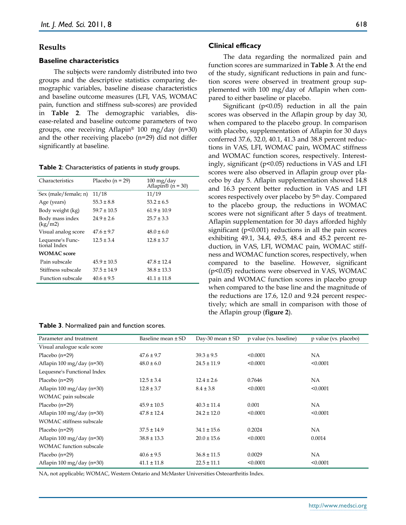## **Results**

#### **Baseline characteristics**

The subjects were randomly distributed into two groups and the descriptive statistics comparing demographic variables, baseline disease characteristics and baseline outcome measures (LFI, VAS, WOMAC pain, function and stiffness sub-scores) are provided in **Table 2**. The demographic variables, disease-related and baseline outcome parameters of two groups, one receiving Aflapin® 100 mg/day (n=30) and the other receiving placebo (n=29) did not differ significantly at baseline.

#### **Table 2**: Characteristics of patients in study groups.

| Characteristics                  | Placebo $(n = 29)$ | $100 \,\mathrm{mg}/\mathrm{day}$<br>Aflapin <sup>®</sup> ( $n = 30$ ) |  |
|----------------------------------|--------------------|-----------------------------------------------------------------------|--|
| Sex (male/female; n)             | 11/18              | 11/19                                                                 |  |
| Age (years)                      | $55.3 \pm 8.8$     | $53.2 \pm 6.5$                                                        |  |
| Body weight (kg)                 | $59.7 \pm 10.5$    | $61.9 \pm 10.9$                                                       |  |
| Body mass index<br>(kg/m2)       | $24.9 \pm 2.6$     | $25.7 \pm 3.3$                                                        |  |
| Visual analog score              | $47.6 \pm 9.7$     | $48.0 \pm 6.0$                                                        |  |
| Lequesne's Func-<br>tional Index | $12.5 \pm 3.4$     | $12.8 \pm 3.7$                                                        |  |
| <b>WOMAC</b> score               |                    |                                                                       |  |
| Pain subscale                    | $45.9 \pm 10.5$    | $47.8 \pm 12.4$                                                       |  |
| Stiffness subscale               | $37.5 \pm 14.9$    | $38.8 \pm 13.3$                                                       |  |
| <b>Function subscale</b>         | $40.6 \pm 9.5$     | $41.1 \pm 11.8$                                                       |  |

#### **Table 3**. Normalized pain and function scores.

#### **Clinical efficacy**

The data regarding the normalized pain and function scores are summarized in **Table 3**. At the end of the study, significant reductions in pain and function scores were observed in treatment group supplemented with 100 mg/day of Aflapin when compared to either baseline or placebo.

Significant ( $p$ <0.05) reduction in all the pain scores was observed in the Aflapin group by day 30, when compared to the placebo group. In comparison with placebo, supplementation of Aflapin for 30 days conferred 37.6, 32.0, 40.1, 41.3 and 38.8 percent reductions in VAS, LFI, WOMAC pain, WOMAC stiffness and WOMAC function scores, respectively. Interestingly, significant (p<0.05) reductions in VAS and LFI scores were also observed in Aflapin group over placebo by day 5. Aflapin supplementation showed 14.8 and 16.3 percent better reduction in VAS and LFI scores respectively over placebo by 5 th day. Compared to the placebo group, the reductions in WOMAC scores were not significant after 5 days of treatment. Aflapin supplementation for 30 days afforded highly significant (p<0.001) reductions in all the pain scores exhibiting 49.1, 34.4, 49.5, 48.4 and 45.2 percent reduction, in VAS, LFI, WOMAC pain, WOMAC stiffness and WOMAC function scores, respectively, when compared to the baseline. However, significant (p<0.05) reductions were observed in VAS, WOMAC pain and WOMAC function scores in placebo group when compared to the base line and the magnitude of the reductions are 17.6, 12.0 and 9.24 percent respectively; which are small in comparison with those of the Aflapin group (**figure 2**).

| Parameter and treatment                         | Baseline mean ± SD | Day-30 mean $\pm$ SD | p value (vs. baseline) | p value (vs. placebo) |
|-------------------------------------------------|--------------------|----------------------|------------------------|-----------------------|
| Visual analogue scale score                     |                    |                      |                        |                       |
| Placebo $(n=29)$                                | $47.6 \pm 9.7$     | $39.3 \pm 9.5$       | < 0.0001               | NA                    |
| Aflapin $100 \,\mathrm{mg}/\mathrm{day}$ (n=30) | $48.0 \pm 6.0$     | $24.5 \pm 11.9$      | < 0.0001               | < 0.0001              |
| Lequesne's Functional Index                     |                    |                      |                        |                       |
| Placebo $(n=29)$                                | $12.5 \pm 3.4$     | $12.4 \pm 2.6$       | 0.7646                 | NA                    |
| Aflapin 100 mg/day (n=30)                       | $12.8 \pm 3.7$     | $8.4 \pm 3.8$        | < 0.0001               | < 0.0001              |
| WOMAC pain subscale                             |                    |                      |                        |                       |
| Placebo $(n=29)$                                | $45.9 \pm 10.5$    | $40.3 \pm 11.4$      | 0.001                  | NA                    |
| Aflapin $100 \text{ mg}/\text{day}$ (n=30)      | $47.8 \pm 12.4$    | $24.2 \pm 12.0$      | < 0.0001               | < 0.0001              |
| <b>WOMAC</b> stiffness subscale                 |                    |                      |                        |                       |
| Placebo $(n=29)$                                | $37.5 \pm 14.9$    | $34.1 \pm 15.6$      | 0.2024                 | NA.                   |
| Aflapin $100 \,\mathrm{mg}/\mathrm{day}$ (n=30) | $38.8 \pm 13.3$    | $20.0 \pm 15.6$      | < 0.0001               | 0.0014                |
| <b>WOMAC</b> function subscale                  |                    |                      |                        |                       |
| Placebo $(n=29)$                                | $40.6 \pm 9.5$     | $36.8 \pm 11.5$      | 0.0029                 | NA                    |
| Aflapin $100 \text{ mg}/\text{day}$ (n=30)      | $41.1 \pm 11.8$    | $22.5 \pm 11.1$      | < 0.0001               | < 0.0001              |

NA, not applicable; WOMAC, Western Ontario and McMaster Universities Osteoarthritis Index.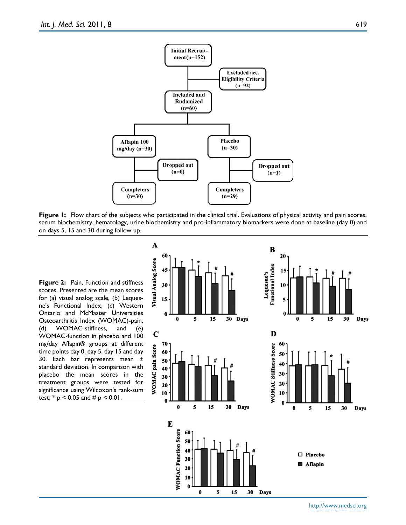

**Figure** 1: Flow chart of the subjects who participated in the clinical trial. Evaluations of physical activity and pain scores, serum biochemistry, hematology, urine biochemistry and pro-inflammatory biomarkers were done at baseline (day 0) and on days 5, 15 and 30 during follow up.

**Figure 2:** Pain, Function and stiffness scores. Presented are the mean scores for (a) visual analog scale, (b) Lequesne's Functional Index, (c) Western Ontario and McMaster Universities Osteoarthritis Index (WOMAC)-pain, (d) WOMAC-stiffness, and (e) WOMAC-function in placebo and 100 mg/day Aflapin® groups at different time points day 0, day 5, day 15 and day 30. Each bar represents mean ± standard deviation. In comparison with placebo the mean scores in the treatment groups were tested for significance using Wilcoxon's rank-sum test;  $* p < 0.05$  and  $# p < 0.01$ .



619

http://www.medsci.org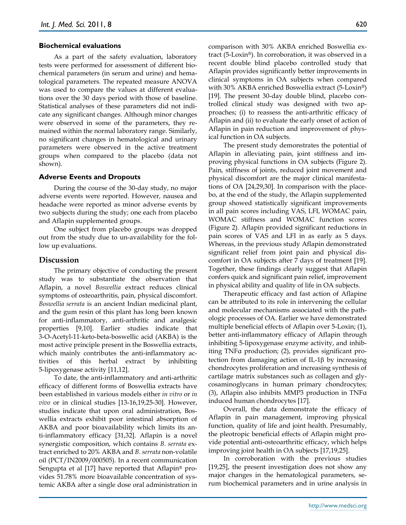#### **Biochemical evaluations**

As a part of the safety evaluation, laboratory tests were performed for assessment of different biochemical parameters (in serum and urine) and hematological parameters. The repeated measure ANOVA was used to compare the values at different evaluations over the 30 days period with those of baseline. Statistical analyses of these parameters did not indicate any significant changes. Although minor changes were observed in some of the parameters, they remained within the normal laboratory range. Similarly, no significant changes in hematological and urinary parameters were observed in the active treatment groups when compared to the placebo (data not shown).

#### **Adverse Events and Dropouts**

During the course of the 30-day study, no major adverse events were reported. However, nausea and headache were reported as minor adverse events by two subjects during the study; one each from placebo and Aflapin supplemented groups.

One subject from placebo groups was dropped out from the study due to un-availability for the follow up evaluations.

#### **Discussion**

The primary objective of conducting the present study was to substantiate the observation that Aflapin, a novel *Boswellia* extract reduces clinical symptoms of osteoarthritis, pain, physical discomfort. *Boswellia serrata* is an ancient Indian medicinal plant, and the gum resin of this plant has long been known for anti-inflammatory, anti-arthritic and analgesic properties [9,10]. Earlier studies indicate that 3-O-Acetyl-11-keto-beta-boswellic acid (AKBA) is the most active principle present in the Boswellia extracts, which mainly contributes the anti-inflammatory activities of this herbal extract by inhibiting 5-lipoxygenase activity [11,12].

To date, the anti-inflammatory and anti-arthritic efficacy of different forms of Boswellia extracts have been established in various models either *in vitro* or *in vivo* or in clinical studies [13-16,19,25-30]. However, studies indicate that upon oral administration, Boswellia extracts exhibit poor intestinal absorption of AKBA and poor bioavailability which limits its anti-inflammatory efficacy [31,32]. Aflapin is a novel synergistic composition, which contains *B. serrata* extract enriched to 20% AKBA and *B. serrata* non-volatile oil (PCT/IN2009/000505). In a recent communication Sengupta et al [17] have reported that Aflapin® provides 51.78% more bioavailable concentration of systemic AKBA after a single dose oral administration in comparison with 30% AKBA enriched Boswellia extract (5-Loxin®). In corroboration, it was observed in a recent double blind placebo controlled study that Aflapin provides significantly better improvements in clinical symptoms in OA subjects when compared with 30% AKBA enriched Boswellia extract (5-Loxin®) [19]. The present 30-day double blind, placebo controlled clinical study was designed with two approaches; (i) to reassess the anti-arthritic efficacy of Aflapin and (ii) to evaluate the early onset of action of Aflapin in pain reduction and improvement of physical function in OA subjects.

The present study demonstrates the potential of Aflapin in alleviating pain, joint stiffness and improving physical functions in OA subjects (Figure 2). Pain, stiffness of joints, reduced joint movement and physical discomfort are the major clinical manifestations of OA [24,29,30]. In comparison with the placebo, at the end of the study, the Aflapin supplemented group showed statistically significant improvements in all pain scores including VAS, LFI, WOMAC pain, WOMAC stiffness and WOMAC function scores (Figure 2). Aflapin provided significant reductions in pain scores of VAS and LFI in as early as 5 days. Whereas, in the previous study Aflapin demonstrated significant relief from joint pain and physical discomfort in OA subjects after 7 days of treatment [19]. Together, these findings clearly suggest that Aflapin confers quick and significant pain relief, improvement in physical ability and quality of life in OA subjects.

Therapeutic efficacy and fast action of Aflapine can be attributed to its role in intervening the cellular and molecular mechanisms associated with the pathologic processes of OA. Earlier we have demonstrated multiple beneficial effects of Aflapin over 5-Loxin; (1), better anti-inflammatory efficacy of Aflapin through inhibiting 5-lipoxygenase enzyme activity, and inhibiting TNFα production; (2), provides significant protection from damaging action of IL-1 $\beta$  by increasing chondrocytes proliferation and increasing synthesis of cartilage matrix substances such as collagen and glycosaminoglycans in human primary chondrocytes; (3), Aflapin also inhibits MMP3 production in TNFα induced human chondrocytes [17].

Overall, the data demonstrate the efficacy of Aflapin in pain management, improving physical function, quality of life and joint health. Presumably, the pleotropic beneficial effects of Aflapin might provide potential anti-osteoarthritic efficacy, which helps improving joint health in OA subjects [17,19,25].

In corroboration with the previous studies [19,25], the present investigation does not show any major changes in the hematological parameters, serum biochemical parameters and in urine analysis in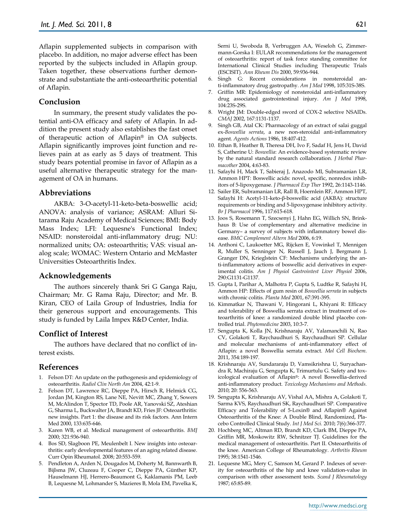Aflapin supplemented subjects in comparison with placebo. In addition, no major adverse effect has been reported by the subjects included in Aflapin group. Taken together, these observations further demonstrate and substantiate the anti-osteoarthritic potential of Aflapin.

# **Conclusion**

In summary, the present study validates the potential anti-OA efficacy and safety of Aflapin. In addition the present study also establishes the fast onset of therapeutic action of Aflapin® in OA subjects. Aflapin significantly improves joint function and relieves pain at as early as 5 days of treatment. This study bears potential promise in favor of Aflapin as a useful alternative therapeutic strategy for the management of OA in humans.

# **Abbreviations**

AKBA: 3-O-acetyl-11-keto-beta-boswellic acid; ANOVA: analysis of variance; ASRAM: Alluri Sitarama Raju Academy of Medical Sciences; BMI: Body Mass Index; LFI: Lequesne's Functional Index; NSAID: nonsteroidal anti-inflammatory drug; NU: normalized units; OA: osteoarthritis; VAS: visual analog scale; WOMAC: Western Ontario and McMaster Universities Osteoarthritis Index.

## **Acknowledgements**

The authors sincerely thank Sri G Ganga Raju, Chairman; Mr. G Rama Raju, Director; and Mr. B. Kiran, CEO of Laila Group of Industries, India for their generous support and encouragements. This study is funded by Laila Impex R&D Center, India.

## **Conflict of Interest**

The authors have declared that no conflict of interest exists.

## **References**

- 1. Felson DT: An update on the pathogenesis and epidemiology of osteoarthritis. *Radiol Clin North Am* 2004, 42:1-9.
- 2. Felson DT, Lawrence RC, Dieppe PA, Hirsch R, Helmick CG, Jordan JM, Kington RS, Lane NE, Nevitt MC, Zhang Y, Sowers M, McAlindon T, Spector TD, Poole AR, Yanovski SZ, Ateshian G, Sharma L, Buckwalter JA, Brandt KD, Fries JF: Osteoarthritis: new insights. Part 1: the disease and its risk factors. Ann Intern Med 2000, 133:635-646.
- 3. Karen WB, et al. Medical management of osteoarthritis. *BMJ* 2000; 321:936-940.
- 4. Bos SD, Slagboon PE, Meulenbelt I. New insights into osteoarthritis: early developmental features of an aging related disease. Curr Opin Rheumatol. 2008; 20:553-559.
- 5. Pendleton A, Arden N, Dougados M, Doherty M, Bannwarth B, Bijlsma JW, Cluzeau F, Cooper C, Dieppe PA, Günther KP, Hauselmann HJ, Herrero-Beaumont G, Kaklamanis PM, Leeb B, Lequesne M, Lohmander S, Mazieres B, Mola EM, Pavelka K,

Serni U, Swoboda B, Verbruggen AA, Weseloh G, Zimmermann-Gorska I: EULAR recommendations for the management of osteoarthritis: report of task force standing committee for International Clinical Studies including Therapeutic Trials (ESCISIT). *Ann Rheum Dis* 2000, 59:936-944.

- 6. Singh G: Recent considerations in nonsteroidal anti-inflammatory drug gastropathy. *Am J Med* 1998, 105:31S-38S.
- 7. Griffin MR: Epidemiology of nonsteroidal anti-inflammatory drug associated gastrointestinal injury. *Am J Med* 1998, 104:23S-29S.
- 8. Wright JM: Double-edged sword of COX-2 selective NSAIDs. *CMAJ* 2002, 167:1131-1137.
- 9. Singh GB, Atal CK: Pharmacology of an extract of salai guggal ex-*Boswellia serrata*, a new non-steroidal anti-inflammatory agent. *Agents Actions* 1986, 18:407-412.
- 10. Ethan B, Heather B, Theresa DH, Ivo F, Sadaf H, Jens H, David S, Catherine U: *Boswellia*: An evidence-based systematic review by the natural standard research collaboration. *J Herbal Pharmacother* 2004, 4:63-83.
- 11. Safayhi H, Mack T, Sabieraj J, Anazodo MI, Subramanian LR, Ammon HPT: Boswellic acids: novel, specific, nonredox inhibitors of 5-lipoxygenase. *J Pharmacol Exp Ther* 1992, 26:1143-1146.
- 12. Sailer ER, Subramanian LR, Rall B, Hoernlein RF, Ammon HPT, Safayhi H: Acetyl-11-keto-β-boswellic acid (AKBA): structure requirements or binding and 5-lipoxygenase inhibitory activity. *Br J Pharmacol* 1996, 117:615-618.
- 13. Joos S, Rosemann T, Szecsenyi J, Hahn EG, Willich SN, Brinkhaus B: Use of complementary and alternative medicine in Germany– a survey of subjects with inflammatory bowel disease. *BMC Complement Altern Med* 2006, 6:19.
- 14. Anthoni C, Laukoetter MG, Rijcken E, Vowinkel T, Mennigen R, Muller S, Senninger N, Russell J, Jauch J, Bergmann J, Granger DN, Krieglstein CF: Mechanisms underlying the anti-inflammatory actions of boswellic acid derivatives in experimental colitis. *Am J Physiol Gastrointest Liver Physiol* 2006, 290:G1131-G1137.
- 15. Gupta I, Parihar A, Malhotra P, Gupta S, Ludtke R, Safayhi H, Ammon HP: Effects of gum resin of *Boswellia serrata* in subjects with chronic colitis. *Planta Med* 2001, 67:391-395.
- 16. Kimmatkar N, Thawani V, Hingorani L, Khiyani R: Efficacy and tolerability of Boswellia serrata extract in treatment of osteoarthritis of knee: a randomized double blind placebo controlled trial. *Phytomedicine* 2003, 10:3-7.
- 17. Sengupta K, Kolla JN, Krishnaraju AV, Yalamanchili N, Rao CV, Golakoti T, Raychaudhuri S, Raychaudhuri SP. Cellular and molecular mechanisms of anti-inflammatory effect of Aflapin: a novel Boswellia serrata extract. *Mol Cell Biochem*. 2011, 354:189-197.
- 18. Krishnaraju AV, Sundararaju D, Vamsikrishna U, Suryachandra R, Machiraju G, Sengupta K, Trimurtulu G. Safety and toxicological evaluation of Aflapin®: A novel Boswellia-derived anti-inflammatory product. *Toxicology Mechanisms and Methods.* 2010; 20: 556-563.
- 19. Sengupta K, Krishnaraju AV, Vishal AA, Mishra A, Golakoti T, Sarma KVS, Raychaudhuri SK, Raychaudhuri SP. Comparative Efficacy and Tolerability of 5-Loxin® and Aflapin® Against Osteoarthritis of the Knee: A Double Blind, Randomized, Placebo Controlled Clinical Study. *Int J Med Sci.* 2010; 7(6):366-377.
- 20. Hochberg MC, Altman RD, Brandt KD, Clark BM, Dieppe PA, Griffin MR, Moskowitz RW, Schnitzer TJ. Guidelines for the medical management of osteoarthritis. Part II. Osteoarthritis of the knee. American College of Rheumatology. *Arthritis Rheum* 1995; 38:1541-1546.
- 21. Lequesne MG, Mery C, Samson M, Gerard P. Indexes of severity for osteoarthritis of the hip and knee validation-value in comparison with other assessment tests. *Scand J Rheumatology* 1987; 65:85-89.